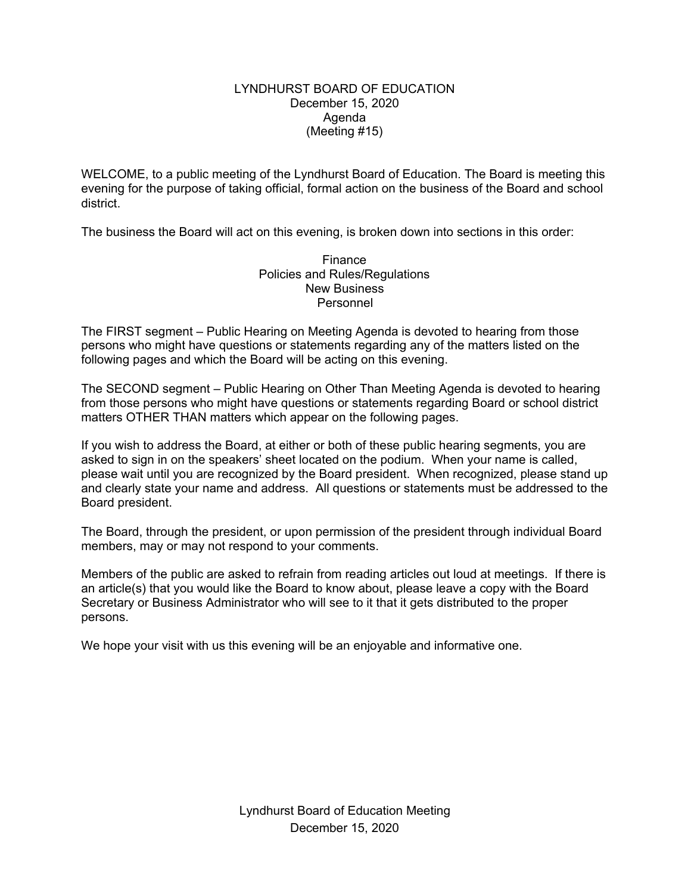### LYNDHURST BOARD OF EDUCATION December 15, 2020 Agenda (Meeting #15)

WELCOME, to a public meeting of the Lyndhurst Board of Education. The Board is meeting this evening for the purpose of taking official, formal action on the business of the Board and school district.

The business the Board will act on this evening, is broken down into sections in this order:

Finance Policies and Rules/Regulations New Business Personnel

The FIRST segment – Public Hearing on Meeting Agenda is devoted to hearing from those persons who might have questions or statements regarding any of the matters listed on the following pages and which the Board will be acting on this evening.

The SECOND segment – Public Hearing on Other Than Meeting Agenda is devoted to hearing from those persons who might have questions or statements regarding Board or school district matters OTHER THAN matters which appear on the following pages.

If you wish to address the Board, at either or both of these public hearing segments, you are asked to sign in on the speakers' sheet located on the podium. When your name is called, please wait until you are recognized by the Board president. When recognized, please stand up and clearly state your name and address. All questions or statements must be addressed to the Board president.

The Board, through the president, or upon permission of the president through individual Board members, may or may not respond to your comments.

Members of the public are asked to refrain from reading articles out loud at meetings. If there is an article(s) that you would like the Board to know about, please leave a copy with the Board Secretary or Business Administrator who will see to it that it gets distributed to the proper persons.

We hope your visit with us this evening will be an enjoyable and informative one.

Lyndhurst Board of Education Meeting December 15, 2020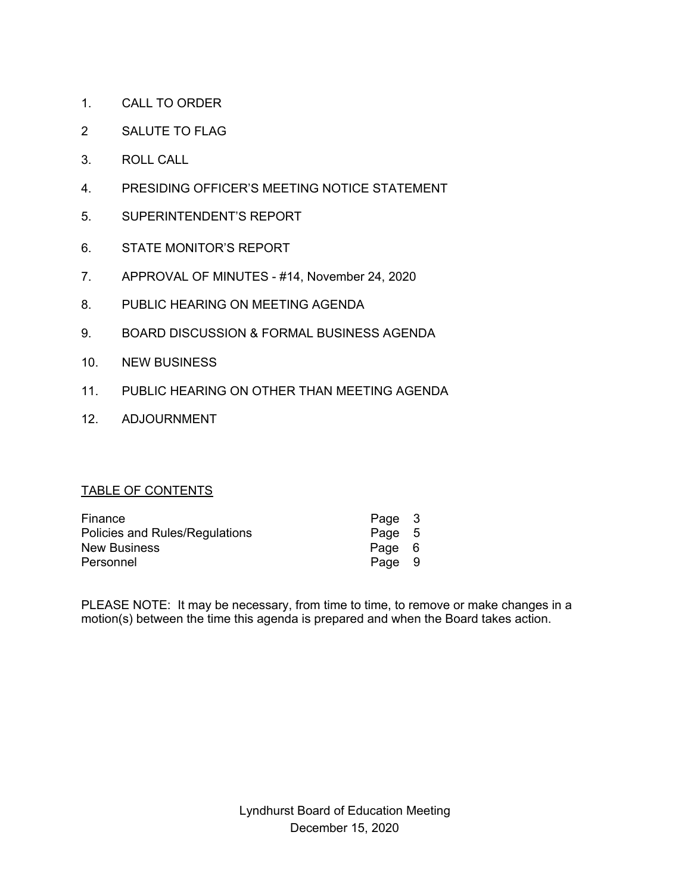- 1. CALL TO ORDER
- 2 SALUTE TO FLAG
- 3. ROLL CALL
- 4. PRESIDING OFFICER'S MEETING NOTICE STATEMENT
- 5. SUPERINTENDENT'S REPORT
- 6. STATE MONITOR'S REPORT
- 7. APPROVAL OF MINUTES #14, November 24, 2020
- 8. PUBLIC HEARING ON MEETING AGENDA
- 9. BOARD DISCUSSION & FORMAL BUSINESS AGENDA
- 10. NEW BUSINESS
- 11. PUBLIC HEARING ON OTHER THAN MEETING AGENDA
- 12. ADJOURNMENT

# TABLE OF CONTENTS

| Finance                        | Page 3 |  |
|--------------------------------|--------|--|
| Policies and Rules/Regulations | Page 5 |  |
| <b>New Business</b>            | Page 6 |  |
| Personnel                      | Page 9 |  |

PLEASE NOTE: It may be necessary, from time to time, to remove or make changes in a motion(s) between the time this agenda is prepared and when the Board takes action.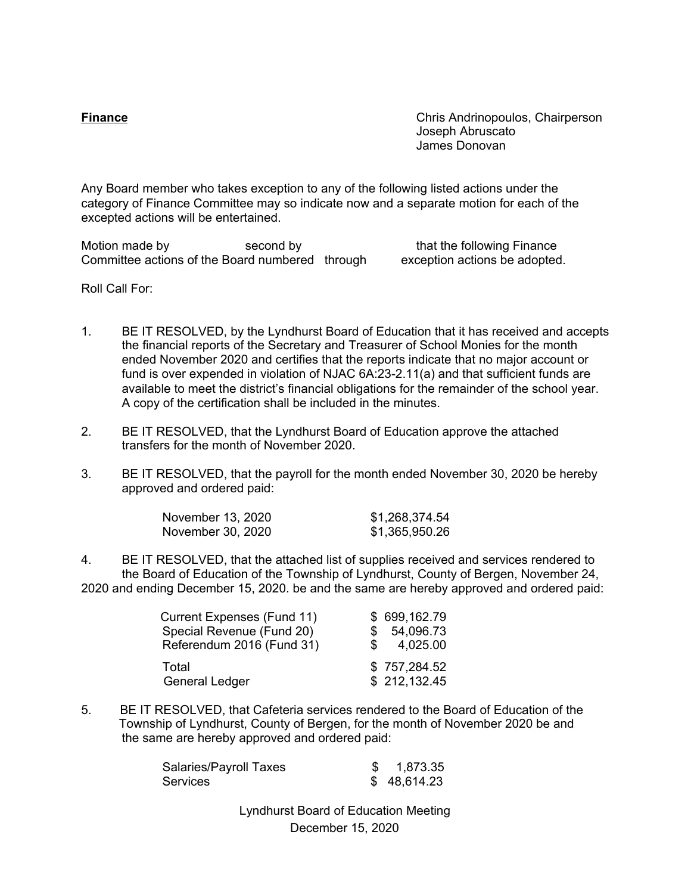**Finance** Chris Andrinopoulos, Chairperson Joseph Abruscato James Donovan

Any Board member who takes exception to any of the following listed actions under the category of Finance Committee may so indicate now and a separate motion for each of the excepted actions will be entertained.

Motion made by second by that the following Finance Committee actions of the Board numbered through exception actions be adopted.

Roll Call For:

- 1. BE IT RESOLVED, by the Lyndhurst Board of Education that it has received and accepts the financial reports of the Secretary and Treasurer of School Monies for the month ended November 2020 and certifies that the reports indicate that no major account or fund is over expended in violation of NJAC 6A:23-2.11(a) and that sufficient funds are available to meet the district's financial obligations for the remainder of the school year. A copy of the certification shall be included in the minutes.
- 2. BE IT RESOLVED, that the Lyndhurst Board of Education approve the attached transfers for the month of November 2020.
- 3. BE IT RESOLVED, that the payroll for the month ended November 30, 2020 be hereby approved and ordered paid:

| November 13, 2020 | \$1,268,374.54 |
|-------------------|----------------|
| November 30, 2020 | \$1,365,950.26 |

4. BE IT RESOLVED, that the attached list of supplies received and services rendered to the Board of Education of the Township of Lyndhurst, County of Bergen, November 24, 2020 and ending December 15, 2020. be and the same are hereby approved and ordered paid:

| Current Expenses (Fund 11) |    | \$699,162.79 |
|----------------------------|----|--------------|
| Special Revenue (Fund 20)  |    | \$ 54,096.73 |
| Referendum 2016 (Fund 31)  | S. | 4,025.00     |
| Total                      |    | \$757,284.52 |
| <b>General Ledger</b>      |    | \$212,132.45 |

5. BE IT RESOLVED, that Cafeteria services rendered to the Board of Education of the Township of Lyndhurst, County of Bergen, for the month of November 2020 be and the same are hereby approved and ordered paid:

| Salaries/Payroll Taxes | 1,873.35    |
|------------------------|-------------|
| Services               | \$48,614.23 |

Lyndhurst Board of Education Meeting December 15, 2020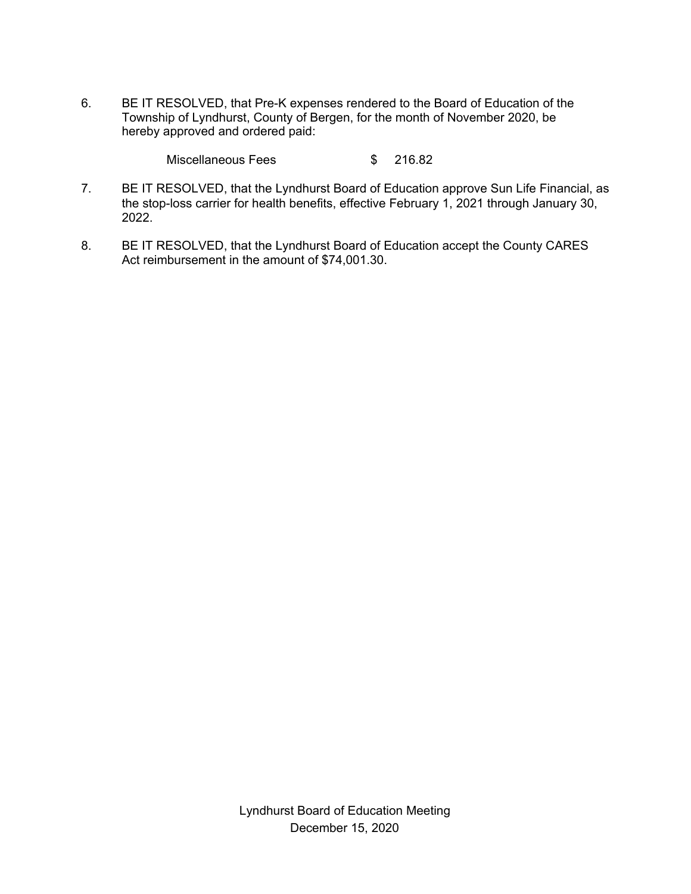6. BE IT RESOLVED, that Pre-K expenses rendered to the Board of Education of the Township of Lyndhurst, County of Bergen, for the month of November 2020, be hereby approved and ordered paid:

Miscellaneous Fees \$ 216.82

- 7. BE IT RESOLVED, that the Lyndhurst Board of Education approve Sun Life Financial, as the stop-loss carrier for health benefits, effective February 1, 2021 through January 30, 2022.
- 8. BE IT RESOLVED, that the Lyndhurst Board of Education accept the County CARES Act reimbursement in the amount of \$74,001.30.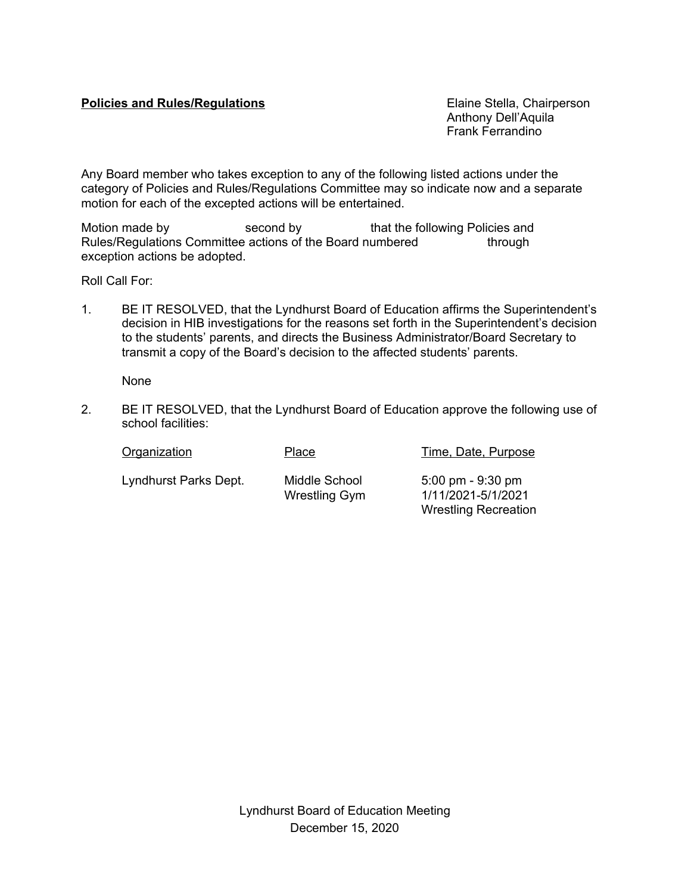# **Policies and Rules/Regulations Elaine Stella, Chairperson**

Anthony Dell'Aquila Frank Ferrandino

Any Board member who takes exception to any of the following listed actions under the category of Policies and Rules/Regulations Committee may so indicate now and a separate motion for each of the excepted actions will be entertained.

Motion made by second by that the following Policies and Rules/Regulations Committee actions of the Board numbered through exception actions be adopted.

Roll Call For:

1. BE IT RESOLVED, that the Lyndhurst Board of Education affirms the Superintendent's decision in HIB investigations for the reasons set forth in the Superintendent's decision to the students' parents, and directs the Business Administrator/Board Secretary to transmit a copy of the Board's decision to the affected students' parents.

None

2. BE IT RESOLVED, that the Lyndhurst Board of Education approve the following use of school facilities:

| Organization          | Place                                 | Time, Date, Purpose                                                                      |
|-----------------------|---------------------------------------|------------------------------------------------------------------------------------------|
| Lyndhurst Parks Dept. | Middle School<br><b>Wrestling Gym</b> | $5:00 \text{ pm} - 9:30 \text{ pm}$<br>1/11/2021-5/1/2021<br><b>Wrestling Recreation</b> |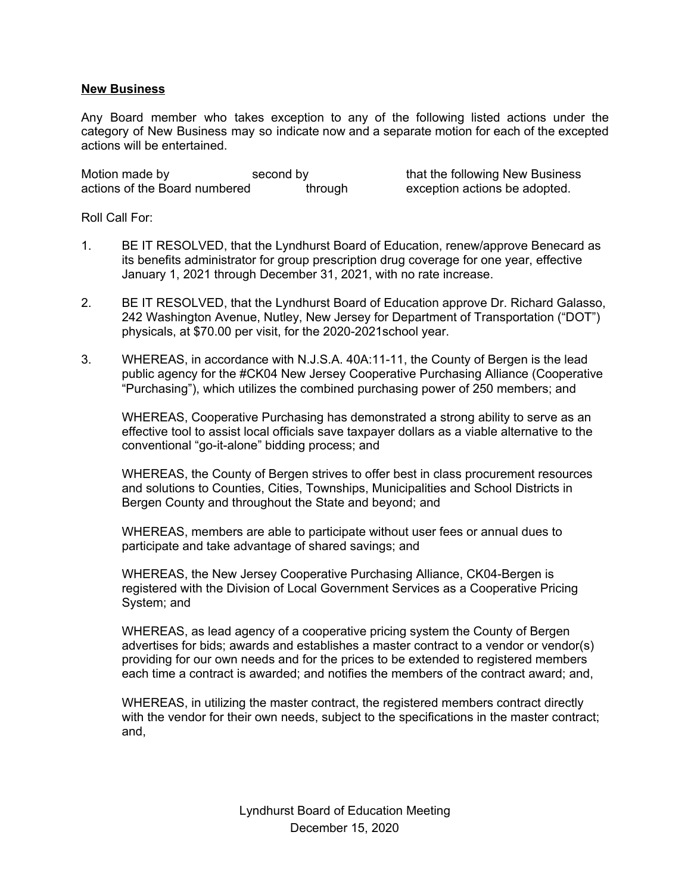## **New Business**

Any Board member who takes exception to any of the following listed actions under the category of New Business may so indicate now and a separate motion for each of the excepted actions will be entertained.

Motion made by second by second by that the following New Business<br>actions of the Board numbered through exception actions be adopted. actions of the Board numbered through exception actions be adopted.

Roll Call For:

- 1. BE IT RESOLVED, that the Lyndhurst Board of Education, renew/approve Benecard as its benefits administrator for group prescription drug coverage for one year, effective January 1, 2021 through December 31, 2021, with no rate increase.
- 2. BE IT RESOLVED, that the Lyndhurst Board of Education approve Dr. Richard Galasso, 242 Washington Avenue, Nutley, New Jersey for Department of Transportation ("DOT") physicals, at \$70.00 per visit, for the 2020-2021school year.
- 3. WHEREAS, in accordance with N.J.S.A. 40A:11-11, the County of Bergen is the lead public agency for the #CK04 New Jersey Cooperative Purchasing Alliance (Cooperative "Purchasing"), which utilizes the combined purchasing power of 250 members; and

WHEREAS, Cooperative Purchasing has demonstrated a strong ability to serve as an effective tool to assist local officials save taxpayer dollars as a viable alternative to the conventional "go-it-alone" bidding process; and

WHEREAS, the County of Bergen strives to offer best in class procurement resources and solutions to Counties, Cities, Townships, Municipalities and School Districts in Bergen County and throughout the State and beyond; and

WHEREAS, members are able to participate without user fees or annual dues to participate and take advantage of shared savings; and

WHEREAS, the New Jersey Cooperative Purchasing Alliance, CK04-Bergen is registered with the Division of Local Government Services as a Cooperative Pricing System; and

WHEREAS, as lead agency of a cooperative pricing system the County of Bergen advertises for bids; awards and establishes a master contract to a vendor or vendor(s) providing for our own needs and for the prices to be extended to registered members each time a contract is awarded; and notifies the members of the contract award; and,

WHEREAS, in utilizing the master contract, the registered members contract directly with the vendor for their own needs, subject to the specifications in the master contract; and,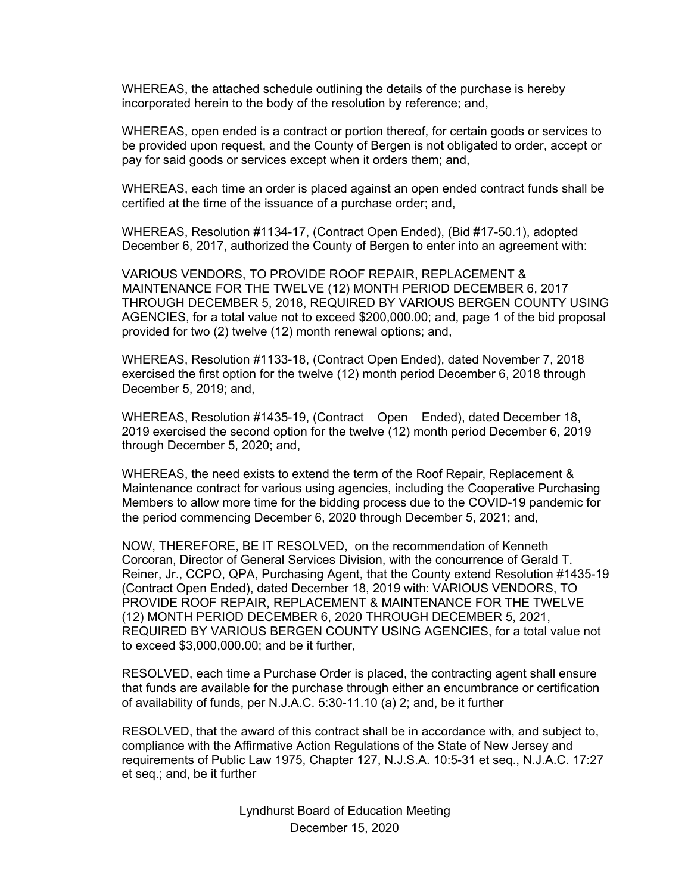WHEREAS, the attached schedule outlining the details of the purchase is hereby incorporated herein to the body of the resolution by reference; and,

WHEREAS, open ended is a contract or portion thereof, for certain goods or services to be provided upon request, and the County of Bergen is not obligated to order, accept or pay for said goods or services except when it orders them; and,

WHEREAS, each time an order is placed against an open ended contract funds shall be certified at the time of the issuance of a purchase order; and,

WHEREAS, Resolution #1134-17, (Contract Open Ended), (Bid #17-50.1), adopted December 6, 2017, authorized the County of Bergen to enter into an agreement with:

VARIOUS VENDORS, TO PROVIDE ROOF REPAIR, REPLACEMENT & MAINTENANCE FOR THE TWELVE (12) MONTH PERIOD DECEMBER 6, 2017 THROUGH DECEMBER 5, 2018, REQUIRED BY VARIOUS BERGEN COUNTY USING AGENCIES, for a total value not to exceed \$200,000.00; and, page 1 of the bid proposal provided for two (2) twelve (12) month renewal options; and,

WHEREAS, Resolution #1133-18, (Contract Open Ended), dated November 7, 2018 exercised the first option for the twelve (12) month period December 6, 2018 through December 5, 2019; and,

WHEREAS, Resolution #1435-19, (Contract Open Ended), dated December 18, 2019 exercised the second option for the twelve (12) month period December 6, 2019 through December 5, 2020; and,

WHEREAS, the need exists to extend the term of the Roof Repair, Replacement & Maintenance contract for various using agencies, including the Cooperative Purchasing Members to allow more time for the bidding process due to the COVID-19 pandemic for the period commencing December 6, 2020 through December 5, 2021; and,

NOW, THEREFORE, BE IT RESOLVED, on the recommendation of Kenneth Corcoran, Director of General Services Division, with the concurrence of Gerald T. Reiner, Jr., CCPO, QPA, Purchasing Agent, that the County extend Resolution #1435-19 (Contract Open Ended), dated December 18, 2019 with: VARIOUS VENDORS, TO PROVIDE ROOF REPAIR, REPLACEMENT & MAINTENANCE FOR THE TWELVE (12) MONTH PERIOD DECEMBER 6, 2020 THROUGH DECEMBER 5, 2021, REQUIRED BY VARIOUS BERGEN COUNTY USING AGENCIES, for a total value not to exceed \$3,000,000.00; and be it further,

RESOLVED, each time a Purchase Order is placed, the contracting agent shall ensure that funds are available for the purchase through either an encumbrance or certification of availability of funds, per N.J.A.C. 5:30-11.10 (a) 2; and, be it further

RESOLVED, that the award of this contract shall be in accordance with, and subject to, compliance with the Affirmative Action Regulations of the State of New Jersey and requirements of Public Law 1975, Chapter 127, N.J.S.A. 10:5-31 et seq., N.J.A.C. 17:27 et seq.; and, be it further

> Lyndhurst Board of Education Meeting December 15, 2020